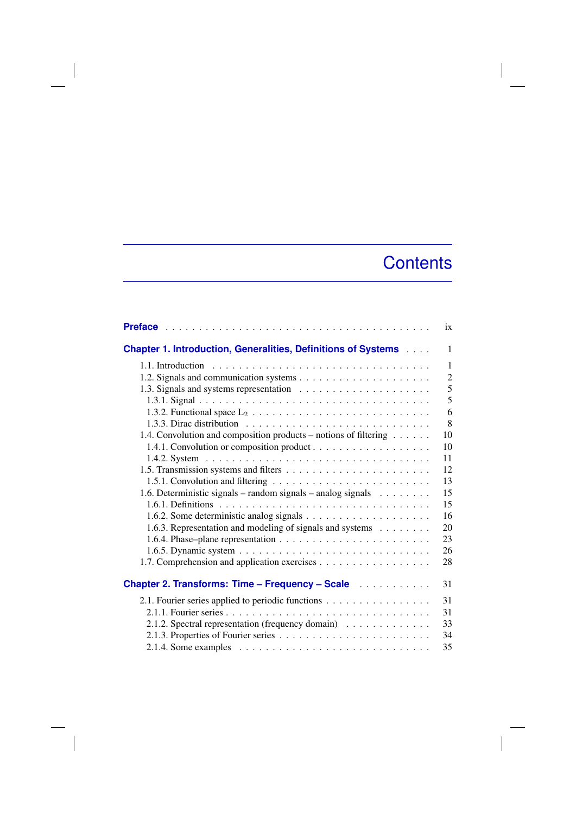## **Contents**

 $\overline{\phantom{a}}$ 

|                                                                            | ix             |
|----------------------------------------------------------------------------|----------------|
| <b>Chapter 1. Introduction, Generalities, Definitions of Systems </b>      | $\mathbf{1}$   |
| 1.1. Introduction                                                          | $\mathbf{1}$   |
|                                                                            | $\overline{c}$ |
|                                                                            | 5              |
|                                                                            | 5              |
|                                                                            | 6              |
|                                                                            | 8              |
| 1.4. Convolution and composition products – notions of filtering           | 10             |
|                                                                            | 10             |
|                                                                            | 11             |
|                                                                            | 12             |
|                                                                            | 13             |
| 1.6. Deterministic signals – random signals – analog signals $\dots \dots$ | 15             |
|                                                                            | 15             |
|                                                                            | 16             |
| 1.6.3. Representation and modeling of signals and systems                  | 20             |
|                                                                            | 23             |
|                                                                            | 26             |
| 1.7. Comprehension and application exercises                               | 28             |
| Chapter 2. Transforms: Time - Frequency - Scale                            | 31             |
| 2.1. Fourier series applied to periodic functions                          | 31             |
|                                                                            | 31             |
| 2.1.2. Spectral representation (frequency domain)                          | 33             |
|                                                                            | 34             |
|                                                                            | 35             |

 $\overline{\phantom{a}}$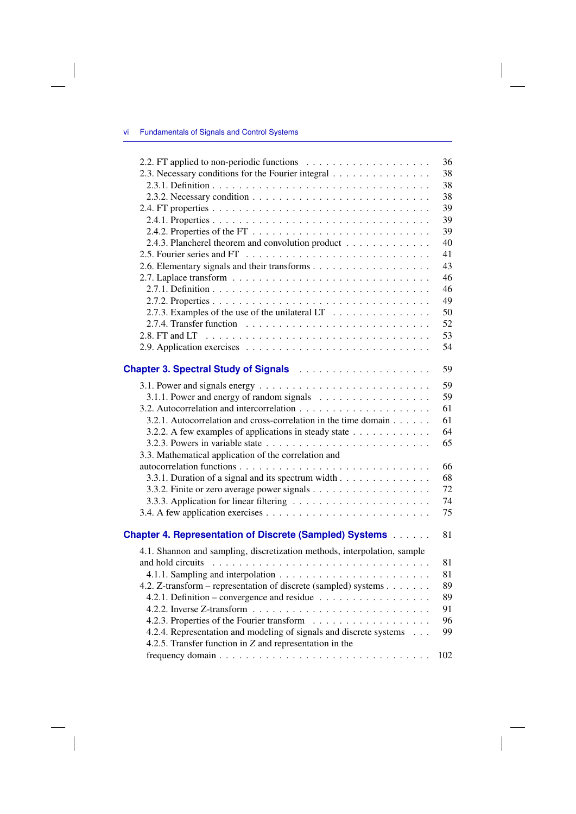$\overline{\phantom{a}}$ 

|                                                                                  | 36  |
|----------------------------------------------------------------------------------|-----|
| 2.3. Necessary conditions for the Fourier integral                               | 38  |
|                                                                                  | 38  |
|                                                                                  | 38  |
|                                                                                  | 39  |
|                                                                                  | 39  |
|                                                                                  | 39  |
| 2.4.3. Plancherel theorem and convolution product                                | 40  |
|                                                                                  | 41  |
|                                                                                  | 43  |
|                                                                                  | 46  |
|                                                                                  | 46  |
|                                                                                  | 49  |
| 2.7.3. Examples of the use of the unilateral $LT \dots \dots \dots \dots$        | 50  |
|                                                                                  | 52  |
|                                                                                  | 53  |
|                                                                                  | 54  |
|                                                                                  |     |
| Chapter 3. Spectral Study of Signals <b>Chapter 3. Spectral Study of Signals</b> | 59  |
|                                                                                  | 59  |
| 3.1.1. Power and energy of random signals                                        | 59  |
|                                                                                  | 61  |
| 3.2.1. Autocorrelation and cross-correlation in the time domain                  | 61  |
| 3.2.2. A few examples of applications in steady state                            | 64  |
|                                                                                  | 65  |
| 3.3. Mathematical application of the correlation and                             |     |
|                                                                                  | 66  |
| 3.3.1. Duration of a signal and its spectrum width                               | 68  |
|                                                                                  | 72  |
|                                                                                  | 74  |
|                                                                                  | 75  |
|                                                                                  |     |
| <b>Chapter 4. Representation of Discrete (Sampled) Systems</b>                   | 81  |
| 4.1. Shannon and sampling, discretization methods, interpolation, sample         |     |
|                                                                                  | 81  |
|                                                                                  | 81  |
| 4.2. Z-transform – representation of discrete (sampled) systems                  | 89  |
| 4.2.1. Definition – convergence and residue $\ldots \ldots \ldots \ldots \ldots$ | 89  |
|                                                                                  | 91  |
|                                                                                  | 96  |
| 4.2.4. Representation and modeling of signals and discrete systems               | 99  |
| 4.2.5. Transfer function in $Z$ and representation in the                        |     |
|                                                                                  | 102 |
|                                                                                  |     |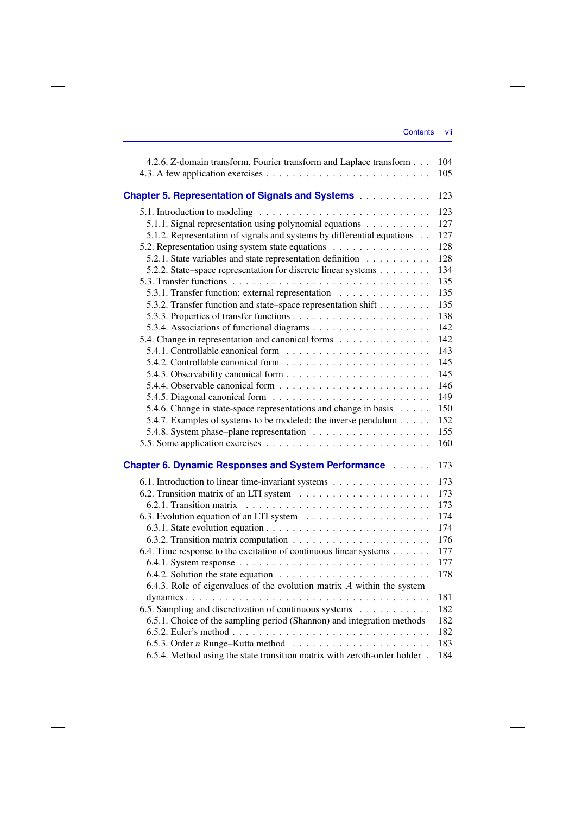| 4.2.6. Z-domain transform, Fourier transform and Laplace transform                    | 104<br>105 |
|---------------------------------------------------------------------------------------|------------|
|                                                                                       |            |
| <b>Chapter 5. Representation of Signals and Systems</b>                               | 123        |
|                                                                                       | 123        |
| 5.1.1. Signal representation using polynomial equations                               | 127        |
| 5.1.2. Representation of signals and systems by differential equations                | 127        |
| 5.2. Representation using system state equations                                      | 128        |
| 5.2.1. State variables and state representation definition                            | 128        |
| 5.2.2. State–space representation for discrete linear systems                         | 134        |
|                                                                                       | 135        |
| 5.3.1. Transfer function: external representation                                     | 135        |
| 5.3.2. Transfer function and state–space representation shift                         | 135        |
|                                                                                       | 138        |
|                                                                                       | 142        |
| 5.4. Change in representation and canonical forms                                     | 142        |
|                                                                                       | 143        |
|                                                                                       | 145        |
|                                                                                       | 145        |
|                                                                                       | 146        |
| 5.4.5. Diagonal canonical form $\ldots \ldots \ldots \ldots \ldots \ldots \ldots$     | 149        |
| 5.4.6. Change in state-space representations and change in basis                      | 150        |
| 5.4.7. Examples of systems to be modeled: the inverse pendulum                        | 152        |
|                                                                                       | 155        |
|                                                                                       | 160        |
| <b>Chapter 6. Dynamic Responses and System Performance Albument</b>                   | 173        |
| 6.1. Introduction to linear time-invariant systems                                    | 173        |
|                                                                                       | 173        |
|                                                                                       | 173        |
|                                                                                       | 174        |
|                                                                                       | 174        |
|                                                                                       | 176        |
| 6.4. Time response to the excitation of continuous linear systems $\dots \dots$       | 177        |
|                                                                                       | 177        |
| 6.4.2. Solution the state equation $\ldots \ldots \ldots \ldots \ldots \ldots \ldots$ | 178        |
| 6.4.3. Role of eigenvalues of the evolution matrix $A$ within the system              |            |
|                                                                                       | 181        |
| 6.5. Sampling and discretization of continuous systems                                | 182        |
| 6.5.1. Choice of the sampling period (Shannon) and integration methods                | 182        |
|                                                                                       | 182        |
| 6.5.3. Order $n$ Runge-Kutta method $\ldots \ldots \ldots \ldots \ldots \ldots$       | 183        |
| 6.5.4. Method using the state transition matrix with zeroth-order holder.             | 184        |